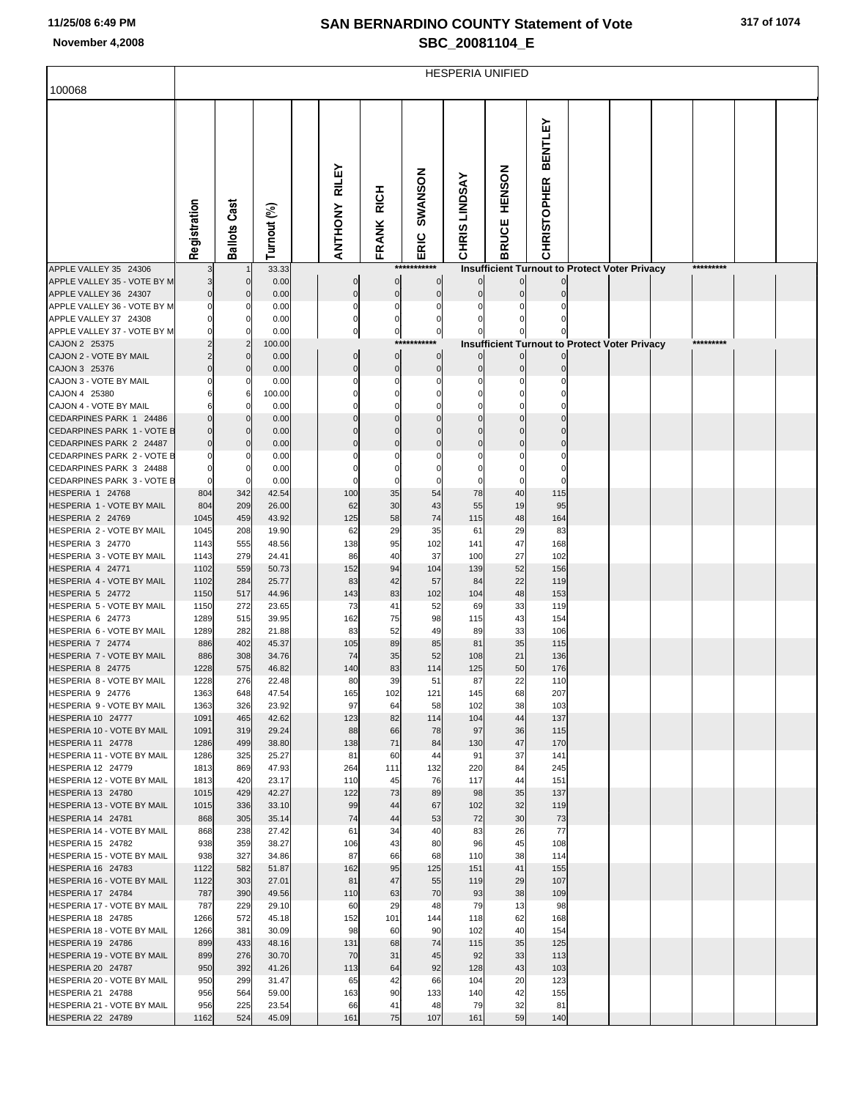## **SAN BERNARDINO COUNTY Statement of Vote November 4,2008 SBC\_20081104\_E**

|                                                       | <b>HESPERIA UNIFIED</b> |                            |                |  |                                |                            |                                  |                                |                                                      |                                      |  |  |  |           |  |  |
|-------------------------------------------------------|-------------------------|----------------------------|----------------|--|--------------------------------|----------------------------|----------------------------------|--------------------------------|------------------------------------------------------|--------------------------------------|--|--|--|-----------|--|--|
| 100068                                                |                         |                            |                |  |                                |                            |                                  |                                |                                                      |                                      |  |  |  |           |  |  |
|                                                       |                         |                            |                |  |                                |                            |                                  |                                |                                                      |                                      |  |  |  |           |  |  |
|                                                       | Registration            | <b>Ballots Cast</b>        |                |  | <b>RILEY</b><br><b>ANTHONY</b> | <b>RICH</b>                | SWANSON                          | <b>CHRIS LINDSAY</b>           | <b>HENSON</b>                                        | <b>BENTLEY</b><br><b>CHRISTOPHER</b> |  |  |  |           |  |  |
|                                                       |                         |                            | Turnout (%)    |  |                                | FRANK                      | ERIC                             |                                | <b>BRUCE</b>                                         |                                      |  |  |  |           |  |  |
|                                                       |                         |                            |                |  |                                |                            |                                  |                                |                                                      |                                      |  |  |  |           |  |  |
| APPLE VALLEY 35 24306                                 |                         |                            | 33.33          |  |                                |                            | ***********                      |                                | <b>Insufficient Turnout to Protect Voter Privacy</b> |                                      |  |  |  | ********* |  |  |
| APPLE VALLEY 35 - VOTE BY M<br>APPLE VALLEY 36 24307  | $\overline{0}$          | $\mathbf 0$<br>$\mathbf 0$ | 0.00<br>0.00   |  | $\mathbf 0$<br>$\mathbf 0$     | $\mathbf 0$<br>$\mathbf 0$ | $\overline{0}$<br>$\overline{0}$ | $\overline{0}$<br>$\mathbf{0}$ | $\overline{0}$                                       |                                      |  |  |  |           |  |  |
| APPLE VALLEY 36 - VOTE BY M                           | $\Omega$                | 0                          | 0.00           |  | $\Omega$                       | $\mathbf 0$                | $\Omega$                         |                                |                                                      |                                      |  |  |  |           |  |  |
| APPLE VALLEY 37 24308                                 |                         | 0                          | 0.00           |  | $\mathbf 0$                    | 0                          | 0                                |                                |                                                      |                                      |  |  |  |           |  |  |
| APPLE VALLEY 37 - VOTE BY M                           |                         | 0                          | 0.00           |  | 0                              | 0                          | $\mathbf{0}$                     |                                |                                                      |                                      |  |  |  |           |  |  |
| CAJON 2 25375                                         |                         | $\overline{2}$             | 100.00         |  |                                |                            | ***********                      |                                | <b>Insufficient Turnout to Protect Voter Privacy</b> |                                      |  |  |  | ********* |  |  |
| CAJON 2 - VOTE BY MAIL<br>CAJON 3 25376               |                         | $\mathbf 0$<br>$\mathbf 0$ | 0.00<br>0.00   |  | $\mathbf 0$<br>$\mathbf 0$     | $\mathbf 0$<br>$\mathbf 0$ | $\overline{0}$<br>$\Omega$       | $\overline{0}$<br>$\mathbf{0}$ | $\overline{0}$                                       |                                      |  |  |  |           |  |  |
| CAJON 3 - VOTE BY MAIL                                | O                       | 0                          | 0.00           |  | $\Omega$                       | 0                          | $\Omega$                         |                                |                                                      |                                      |  |  |  |           |  |  |
| CAJON 4 25380                                         |                         | 6                          | 100.00         |  | $\Omega$                       | $\mathbf 0$                | 0                                | $\Omega$                       |                                                      |                                      |  |  |  |           |  |  |
| CAJON 4 - VOTE BY MAIL                                | 6                       | 0                          | 0.00           |  | 0                              | 0                          | $\Omega$                         |                                |                                                      |                                      |  |  |  |           |  |  |
| CEDARPINES PARK 1 24486<br>CEDARPINES PARK 1 - VOTE B | $\Omega$<br>$\Omega$    | $\mathbf 0$<br>$\mathbf 0$ | 0.00<br>0.00   |  | $\Omega$<br>$\Omega$           | $\Omega$<br>$\Omega$       | $\mathbf 0$<br>$\Omega$          | $\mathbf 0$                    | $\Omega$<br>$\Omega$                                 | $\Omega$<br>$\Omega$                 |  |  |  |           |  |  |
| CEDARPINES PARK 2 24487                               | $\Omega$                | $\mathbf 0$                | 0.00           |  | $\Omega$                       | $\Omega$                   | $\mathbf{0}$                     | $\mathbf 0$                    | $\mathbf{0}$                                         | $\mathbf{0}$                         |  |  |  |           |  |  |
| CEDARPINES PARK 2 - VOTE B                            | 0                       | 0                          | 0.00           |  | 0                              |                            |                                  |                                |                                                      | $\Omega$                             |  |  |  |           |  |  |
| CEDARPINES PARK 3 24488                               | 0                       | 0                          | 0.00           |  | $\Omega$                       | $\mathbf 0$                | $\Omega$                         | $\Omega$                       | $\Omega$                                             | $\mathbf 0$                          |  |  |  |           |  |  |
| CEDARPINES PARK 3 - VOTE B                            | $\mathbf 0$             | 0                          | 0.00           |  | $\Omega$                       | $\Omega$                   | $\Omega$                         |                                |                                                      | $\Omega$                             |  |  |  |           |  |  |
| HESPERIA 1 24768<br>HESPERIA 1 - VOTE BY MAIL         | 804<br>804              | 342<br>209                 | 42.54<br>26.00 |  | 100<br>62                      | 35<br>30                   | 54<br>43                         | 78<br>55                       | 40<br>19                                             | 115<br>95                            |  |  |  |           |  |  |
| HESPERIA 2 24769                                      | 1045                    | 459                        | 43.92          |  | 125                            | 58                         | 74                               | 115                            | 48                                                   | 164                                  |  |  |  |           |  |  |
| HESPERIA 2 - VOTE BY MAIL                             | 1045                    | 208                        | 19.90          |  | 62                             | 29                         | 35                               | 61                             | 29                                                   | 83                                   |  |  |  |           |  |  |
| HESPERIA 3 24770                                      | 1143                    | 555                        | 48.56          |  | 138                            | 95                         | 102                              | 141                            | 47                                                   | 168                                  |  |  |  |           |  |  |
| HESPERIA 3 - VOTE BY MAIL                             | 1143                    | 279                        | 24.41          |  | 86                             | 40                         | 37                               | 100                            | 27<br>52                                             | 102                                  |  |  |  |           |  |  |
| HESPERIA 4 24771<br>HESPERIA 4 - VOTE BY MAIL         | 1102<br>1102            | 559<br>284                 | 50.73<br>25.77 |  | 152<br>83                      | 94<br>42                   | 104<br>57                        | 139<br>84                      | 22                                                   | 156<br>119                           |  |  |  |           |  |  |
| HESPERIA 5 24772                                      | 1150                    | 517                        | 44.96          |  | 143                            | 83                         | 102                              | 104                            | 48                                                   | 153                                  |  |  |  |           |  |  |
| HESPERIA 5 - VOTE BY MAIL                             | 1150                    | 272                        | 23.65          |  | 73                             | 41                         | 52                               | 69                             | 33                                                   | 119                                  |  |  |  |           |  |  |
| HESPERIA 6 24773                                      | 1289                    | 515                        | 39.95          |  | 162                            | 75                         | 98                               | 115                            | 43                                                   | 154                                  |  |  |  |           |  |  |
| HESPERIA 6 - VOTE BY MAIL<br>HESPERIA 7 24774         | 1289<br>886             | 282<br>402                 | 21.88<br>45.37 |  | 83<br>105                      | 52<br>89                   | 49<br>85                         | 89<br>81                       | 33<br>35                                             | 106<br>115                           |  |  |  |           |  |  |
| HESPERIA 7 - VOTE BY MAIL                             | 886                     | 308                        | 34.76          |  | 74                             | 35                         | 52                               | 108                            | 21                                                   | 136                                  |  |  |  |           |  |  |
| HESPERIA 8 24775                                      | 1228                    | 575                        | 46.82          |  | 140                            | 83                         | 114                              | 125                            | 50                                                   | 176                                  |  |  |  |           |  |  |
| HESPERIA 8 - VOTE BY MAIL                             | 1228                    | 276                        | 22.48          |  | 80                             | 39                         | 51                               | 87                             | 22                                                   | 110                                  |  |  |  |           |  |  |
| HESPERIA 9 24776                                      | 1363                    | 648                        | 47.54          |  | 165                            | 102                        | 121                              | 145                            | 68                                                   | 207                                  |  |  |  |           |  |  |
| HESPERIA 9 - VOTE BY MAIL<br>HESPERIA 10 24777        | 1363<br>1091            | 326<br>465                 | 23.92<br>42.62 |  | 97<br>123                      | 64<br>82                   | 58<br>114                        | 102<br>104                     | 38<br>44                                             | 103<br>137                           |  |  |  |           |  |  |
| HESPERIA 10 - VOTE BY MAIL                            | 1091                    | 319                        | 29.24          |  | 88                             | 66                         | 78                               | 97                             | 36                                                   | 115                                  |  |  |  |           |  |  |
| HESPERIA 11 24778                                     | 1286                    | 499                        | 38.80          |  | 138                            | 71                         | 84                               | 130                            | 47                                                   | 170                                  |  |  |  |           |  |  |
| HESPERIA 11 - VOTE BY MAIL                            | 1286                    | 325                        | 25.27          |  | 81                             | 60                         | 44                               | 91                             | 37                                                   | 141                                  |  |  |  |           |  |  |
| HESPERIA 12 24779<br>HESPERIA 12 - VOTE BY MAIL       | 1813<br>1813            | 869<br>420                 | 47.93<br>23.17 |  | 264<br>110                     | 111<br>45                  | 132<br>76                        | 220<br>117                     | 84<br>44                                             | 245<br>151                           |  |  |  |           |  |  |
| HESPERIA 13 24780                                     | 1015                    | 429                        | 42.27          |  | 122                            | 73                         | 89                               | 98                             | 35                                                   | 137                                  |  |  |  |           |  |  |
| HESPERIA 13 - VOTE BY MAIL                            | 1015                    | 336                        | 33.10          |  | 99                             | 44                         | 67                               | 102                            | 32                                                   | 119                                  |  |  |  |           |  |  |
| HESPERIA 14 24781                                     | 868                     | 305                        | 35.14          |  | 74                             | 44                         | 53                               | 72                             | 30                                                   | 73                                   |  |  |  |           |  |  |
| HESPERIA 14 - VOTE BY MAIL                            | 868                     | 238                        | 27.42          |  | 61                             | 34                         | 40                               | 83                             | 26                                                   | 77                                   |  |  |  |           |  |  |
| HESPERIA 15 24782<br>HESPERIA 15 - VOTE BY MAIL       | 938<br>938              | 359<br>327                 | 38.27<br>34.86 |  | 106<br>87                      | 43<br>66                   | 80<br>68                         | 96<br>110                      | 45<br>38                                             | 108<br>114                           |  |  |  |           |  |  |
| HESPERIA 16 24783                                     | 1122                    | 582                        | 51.87          |  | 162                            | 95                         | 125                              | 151                            | 41                                                   | 155                                  |  |  |  |           |  |  |
| HESPERIA 16 - VOTE BY MAIL                            | 1122                    | 303                        | 27.01          |  | 81                             | 47                         | 55                               | 119                            | 29                                                   | 107                                  |  |  |  |           |  |  |
| HESPERIA 17 24784                                     | 787                     | 390                        | 49.56          |  | 110                            | 63                         | 70                               | 93                             | 38                                                   | 109                                  |  |  |  |           |  |  |
| HESPERIA 17 - VOTE BY MAIL                            | 787                     | 229                        | 29.10          |  | 60                             | 29                         | 48                               | 79                             | 13                                                   | 98                                   |  |  |  |           |  |  |
| HESPERIA 18 24785<br>HESPERIA 18 - VOTE BY MAIL       | 1266<br>1266            | 572<br>381                 | 45.18<br>30.09 |  | 152<br>98                      | 101<br>60                  | 144<br>90                        | 118<br>102                     | 62<br>40                                             | 168<br>154                           |  |  |  |           |  |  |
| HESPERIA 19 24786                                     | 899                     | 433                        | 48.16          |  | 131                            | 68                         | 74                               | 115                            | 35                                                   | 125                                  |  |  |  |           |  |  |
| HESPERIA 19 - VOTE BY MAIL                            | 899                     | 276                        | 30.70          |  | 70                             | 31                         | 45                               | 92                             | 33                                                   | 113                                  |  |  |  |           |  |  |
| HESPERIA 20 24787                                     | 950                     | 392                        | 41.26          |  | 113                            | 64                         | 92                               | 128                            | 43                                                   | 103                                  |  |  |  |           |  |  |
| HESPERIA 20 - VOTE BY MAIL<br>HESPERIA 21 24788       | 950                     | 299<br>564                 | 31.47          |  | 65                             | 42                         | 66                               | 104<br>140                     | 20<br>42                                             | 123                                  |  |  |  |           |  |  |
| HESPERIA 21 - VOTE BY MAIL                            | 956<br>956              | 225                        | 59.00<br>23.54 |  | 163<br>66                      | 90<br>41                   | 133<br>48                        | 79                             | 32                                                   | 155<br>81                            |  |  |  |           |  |  |
| HESPERIA 22 24789                                     | 1162                    | 524                        | 45.09          |  | 161                            | 75                         | 107                              | 161                            | 59                                                   | 140                                  |  |  |  |           |  |  |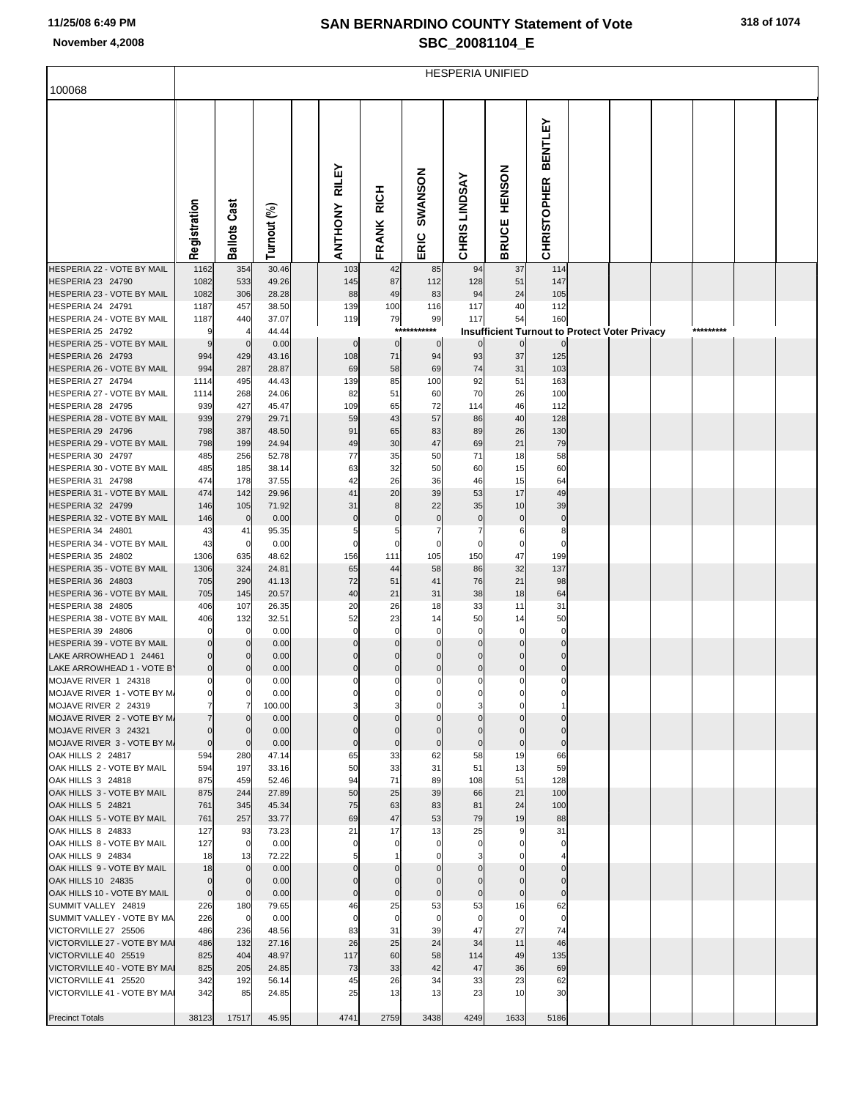## **SAN BERNARDINO COUNTY Statement of Vote November 4,2008 SBC\_20081104\_E**

|                                                        | <b>HESPERIA UNIFIED</b>    |                            |                |  |                         |                         |                               |                               |                                                            |                                      |  |  |  |           |  |  |
|--------------------------------------------------------|----------------------------|----------------------------|----------------|--|-------------------------|-------------------------|-------------------------------|-------------------------------|------------------------------------------------------------|--------------------------------------|--|--|--|-----------|--|--|
| 100068                                                 |                            |                            |                |  |                         |                         |                               |                               |                                                            |                                      |  |  |  |           |  |  |
|                                                        | Registration               | Cast<br>Ballots            | Turnout (%)    |  | RILEY<br><b>ANTHONY</b> | <b>RICH</b><br>FRANK    | SWANSON<br>ERIC               | <b>CHRIS LINDSAY</b>          | <b>HENSON</b><br><b>BRUCE</b>                              | <b>BENTLEY</b><br><b>CHRISTOPHER</b> |  |  |  |           |  |  |
| HESPERIA 22 - VOTE BY MAIL<br>HESPERIA 23 24790        | 1162<br>1082               | 354<br>533                 | 30.46<br>49.26 |  | 103<br>145              | 42<br>87                | 85<br>112                     | 94<br>128                     | 37<br>51                                                   | 114<br>147                           |  |  |  |           |  |  |
| HESPERIA 23 - VOTE BY MAIL                             | 1082                       | 306                        | 28.28          |  | 88                      | 49                      | 83                            | 94                            | 24                                                         | 105                                  |  |  |  |           |  |  |
| HESPERIA 24 24791                                      | 1187                       | 457                        | 38.50          |  | 139                     | 100                     | 116                           | 117                           | 40                                                         | 112                                  |  |  |  |           |  |  |
| HESPERIA 24 - VOTE BY MAIL<br>HESPERIA 25 24792        | 1187                       | 440<br>4                   | 37.07<br>44.44 |  | 119                     | 79                      | 99<br>***********             | 117                           | 54<br><b>Insufficient Turnout to Protect Voter Privacy</b> | 160                                  |  |  |  | ********* |  |  |
| HESPERIA 25 - VOTE BY MAIL                             | 9                          | $\mathbf 0$                | 0.00           |  | $\mathbf 0$             | $\overline{0}$          | $\mathbf 0$                   | $\overline{0}$                | $\overline{0}$                                             | $\mathbf{0}$                         |  |  |  |           |  |  |
| HESPERIA 26 24793<br>HESPERIA 26 - VOTE BY MAIL        | 994<br>994                 | 429<br>287                 | 43.16<br>28.87 |  | 108<br>69               | 71<br>58                | 94<br>69                      | 93<br>74                      | 37<br>31                                                   | 125<br>103                           |  |  |  |           |  |  |
| HESPERIA 27 24794                                      | 1114                       | 495                        | 44.43          |  | 139                     | 85                      | 100                           | 92                            | 51                                                         | 163                                  |  |  |  |           |  |  |
| HESPERIA 27 - VOTE BY MAIL<br>HESPERIA 28 24795        | 1114<br>939                | 268<br>427                 | 24.06<br>45.47 |  | 82<br>109               | 51<br>65                | 60<br>72                      | 70<br>114                     | 26<br>46                                                   | 100<br>112                           |  |  |  |           |  |  |
| HESPERIA 28 - VOTE BY MAIL                             | 939                        | 279                        | 29.71          |  | 59                      | 43                      | 57                            | 86                            | 40                                                         | 128                                  |  |  |  |           |  |  |
| HESPERIA 29 24796                                      | 798                        | 387                        | 48.50          |  | 91                      | 65                      | 83                            | 89                            | 26                                                         | 130                                  |  |  |  |           |  |  |
| HESPERIA 29 - VOTE BY MAIL<br>HESPERIA 30 24797        | 798<br>485                 | 199<br>256                 | 24.94<br>52.78 |  | 49<br>77                | 30<br>35                | 47<br>50                      | 69<br>71                      | 21<br>18                                                   | 79<br>58                             |  |  |  |           |  |  |
| HESPERIA 30 - VOTE BY MAIL                             | 485                        | 185                        | 38.14          |  | 63                      | 32                      | 50                            | 60                            | 15                                                         | 60                                   |  |  |  |           |  |  |
| HESPERIA 31 24798<br>HESPERIA 31 - VOTE BY MAIL        | 474<br>474                 | 178<br>142                 | 37.55<br>29.96 |  | 42<br>41                | 26<br>20                | 36<br>39                      | 46<br>53                      | 15<br>17                                                   | 64<br>49                             |  |  |  |           |  |  |
| HESPERIA 32 24799                                      | 146                        | 105                        | 71.92          |  | 31                      | 8                       | 22                            | 35                            | 10                                                         | 39                                   |  |  |  |           |  |  |
| HESPERIA 32 - VOTE BY MAIL                             | 146                        | $\mathbf 0$                | 0.00           |  | $\bf{0}$                | $\mathbf 0$             | $\mathbf 0$                   | $\mathbf 0$                   | $\mathbf 0$                                                | $\mathbf 0$                          |  |  |  |           |  |  |
| HESPERIA 34 24801<br>HESPERIA 34 - VOTE BY MAIL        | 43<br>43                   | 41<br>0                    | 95.35<br>0.00  |  | 5<br>$\mathbf 0$        | 5<br>0                  | $\overline{7}$<br>$\mathbf 0$ | $\overline{7}$<br>$\mathbf 0$ | 6<br>$\mathbf 0$                                           | 8<br>$\Omega$                        |  |  |  |           |  |  |
| HESPERIA 35 24802                                      | 1306                       | 635                        | 48.62          |  | 156                     | 111                     | 105                           | 150                           | 47                                                         | 199                                  |  |  |  |           |  |  |
| HESPERIA 35 - VOTE BY MAIL<br>HESPERIA 36 24803        | 1306<br>705                | 324<br>290                 | 24.81<br>41.13 |  | 65<br>72                | 44<br>51                | 58<br>41                      | 86<br>76                      | 32<br>21                                                   | 137<br>98                            |  |  |  |           |  |  |
| HESPERIA 36 - VOTE BY MAIL                             | 705                        | 145                        | 20.57          |  | 40                      | 21                      | 31                            | 38                            | 18                                                         | 64                                   |  |  |  |           |  |  |
| HESPERIA 38 24805                                      | 406                        | 107                        | 26.35          |  | 20                      | 26                      | 18                            | 33                            | 11                                                         | 31                                   |  |  |  |           |  |  |
| HESPERIA 38 - VOTE BY MAIL<br><b>HESPERIA 39 24806</b> | 406                        | 132<br>$\mathbf 0$         | 32.51<br>0.00  |  | 52<br>$\Omega$          | 23<br>$\Omega$          | 14<br>$\mathbf 0$             | 50<br>$\mathbf 0$             | 14<br>$\Omega$                                             | 50<br>$\mathbf 0$                    |  |  |  |           |  |  |
| HESPERIA 39 - VOTE BY MAIL                             |                            | $\mathbf 0$                | 0.00           |  | $\mathbf 0$             | $\mathbf 0$             | $\mathbf 0$                   | $\overline{0}$                | $\mathbf{0}$                                               | $\mathbf 0$                          |  |  |  |           |  |  |
| LAKE ARROWHEAD 1 24461<br>LAKE ARROWHEAD 1 - VOTE B'   | $\mathbf 0$<br>$\mathbf 0$ | $\Omega$<br>0              | 0.00<br>0.00   |  | $\Omega$<br>$\mathbf 0$ | $\Omega$<br>$\mathbf 0$ | $\Omega$<br>$\mathbf 0$       | $\mathbf 0$<br>$\overline{0}$ | $\mathbf 0$                                                | 0<br>0                               |  |  |  |           |  |  |
| MOJAVE RIVER 1 24318                                   |                            | $\mathcal{C}$              | 0.00           |  | $\Omega$                | $\Omega$                | $\Omega$                      |                               |                                                            |                                      |  |  |  |           |  |  |
| MOJAVE RIVER 1 - VOTE BY M.                            | 0                          | 0                          | 0.00           |  |                         | 0                       | 0                             | 0                             |                                                            |                                      |  |  |  |           |  |  |
| MOJAVE RIVER 2 24319<br>MOJAVE RIVER 2 - VOTE BY M.    |                            | 7<br>0                     | 100.00<br>0.00 |  | $\mathbf 0$             | $\Omega$                | $\mathbf{0}$                  | $\overline{0}$                | $\mathbf 0$                                                | 0                                    |  |  |  |           |  |  |
| MOJAVE RIVER 3 24321                                   |                            | $\Omega$                   | 0.00           |  | $\Omega$                | 0                       | $\Omega$                      | $\overline{0}$                | $\mathbf 0$                                                | 0                                    |  |  |  |           |  |  |
| MOJAVE RIVER 3 - VOTE BY M.<br>OAK HILLS 2 24817       | $\mathbf{0}$<br>594        | $\mathbf 0$<br>280         | 0.00<br>47.14  |  | $\mathbf 0$<br>65       | $\mathbf 0$<br>33       | $\mathbf 0$<br>62             | $\circ$<br>58                 | $\mathbf 0$<br>19                                          | $\mathbf{0}$<br>66                   |  |  |  |           |  |  |
| OAK HILLS 2 - VOTE BY MAIL                             | 594                        | 197                        | 33.16          |  | 50                      | 33                      | 31                            | 51                            | 13                                                         | 59                                   |  |  |  |           |  |  |
| OAK HILLS 3 24818                                      | 875                        | 459                        | 52.46          |  | 94<br>50                | 71                      | 89<br>39                      | 108                           | 51<br>21                                                   | 128<br>100                           |  |  |  |           |  |  |
| OAK HILLS 3 - VOTE BY MAIL<br>OAK HILLS 5 24821        | 875<br>761                 | 244<br>345                 | 27.89<br>45.34 |  | 75                      | 25<br>63                | 83                            | 66<br>81                      | 24                                                         | 100                                  |  |  |  |           |  |  |
| OAK HILLS 5 - VOTE BY MAIL                             | 761                        | 257                        | 33.77          |  | 69                      | 47                      | 53                            | 79                            | 19                                                         | 88                                   |  |  |  |           |  |  |
| OAK HILLS 8 24833<br>OAK HILLS 8 - VOTE BY MAIL        | 127<br>127                 | 93<br>$\mathbf 0$          | 73.23<br>0.00  |  | 21<br>$\Omega$          | 17<br>0                 | 13<br>$\mathbf 0$             | 25<br>$\mathbf{0}$            |                                                            | 31                                   |  |  |  |           |  |  |
| OAK HILLS 9 24834                                      | 18                         | 13                         | 72.22          |  |                         |                         |                               |                               |                                                            |                                      |  |  |  |           |  |  |
| OAK HILLS 9 - VOTE BY MAIL                             | 18<br>$\mathbf 0$          | $\mathbf 0$                | 0.00           |  | $\mathbf 0$             |                         | $\mathbf 0$<br>$\mathbf 0$    | $\overline{0}$                | $\mathbf 0$<br>0                                           | $\mathbf{0}$                         |  |  |  |           |  |  |
| OAK HILLS 10 24835<br>OAK HILLS 10 - VOTE BY MAIL      | $\mathbf 0$                | $\mathbf 0$<br>$\mathbf 0$ | 0.00<br>0.00   |  | 0<br>$\mathbf 0$        | 0<br>$\mathbf 0$        | $\mathbf 0$                   | $\overline{0}$<br>$\circ$     | $\mathbf 0$                                                | $\overline{0}$<br>$\overline{0}$     |  |  |  |           |  |  |
| SUMMIT VALLEY 24819                                    | 226                        | 180                        | 79.65          |  | 46                      | 25                      | 53                            | 53                            | 16                                                         | 62                                   |  |  |  |           |  |  |
| SUMMIT VALLEY - VOTE BY MA<br>VICTORVILLE 27 25506     | 226<br>486                 | 0<br>236                   | 0.00<br>48.56  |  | $\mathbf 0$<br>83       | $\mathbf 0$<br>31       | $\mathbf 0$<br>39             | $\mathbf 0$<br>47             | $\mathbf 0$<br>27                                          | $\mathbf 0$<br>74                    |  |  |  |           |  |  |
| VICTORVILLE 27 - VOTE BY MAI                           | 486                        | 132                        | 27.16          |  | 26                      | 25                      | 24                            | 34                            | 11                                                         | 46                                   |  |  |  |           |  |  |
| VICTORVILLE 40 25519<br>VICTORVILLE 40 - VOTE BY MAI   | 825<br>825                 | 404<br>205                 | 48.97<br>24.85 |  | 117<br>73               | 60<br>33                | 58<br>42                      | 114<br>47                     | 49<br>36                                                   | 135<br>69                            |  |  |  |           |  |  |
| VICTORVILLE 41 25520                                   | 342                        | 192                        | 56.14          |  | 45                      | 26                      | 34                            | 33                            | 23                                                         | 62                                   |  |  |  |           |  |  |
| VICTORVILLE 41 - VOTE BY MAI                           | 342                        | 85                         | 24.85          |  | 25                      | 13                      | 13                            | 23                            | 10                                                         | 30                                   |  |  |  |           |  |  |
| <b>Precinct Totals</b>                                 | 38123                      | 17517                      | 45.95          |  | 4741                    | 2759                    | 3438                          | 4249                          | 1633                                                       | 5186                                 |  |  |  |           |  |  |